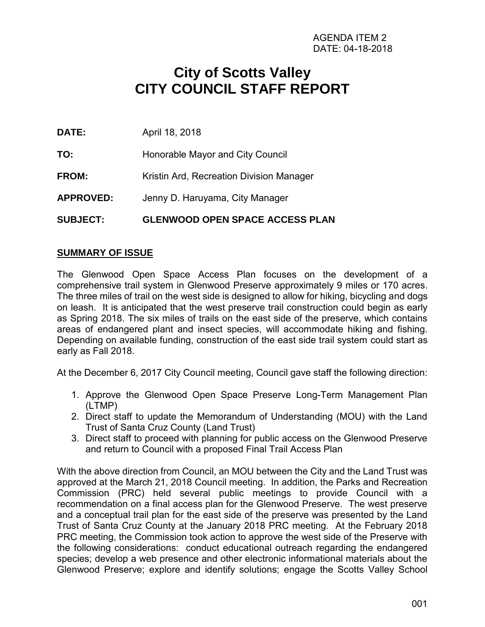# **City of Scotts Valley CITY COUNCIL STAFF REPORT**

| <b>SUBJECT:</b>  | <b>GLENWOOD OPEN SPACE ACCESS PLAN</b>   |  |
|------------------|------------------------------------------|--|
| <b>APPROVED:</b> | Jenny D. Haruyama, City Manager          |  |
| <b>FROM:</b>     | Kristin Ard, Recreation Division Manager |  |
| TO:              | Honorable Mayor and City Council         |  |
| <b>DATE:</b>     | April 18, 2018                           |  |

#### **SUMMARY OF ISSUE**

The Glenwood Open Space Access Plan focuses on the development of a comprehensive trail system in Glenwood Preserve approximately 9 miles or 170 acres. The three miles of trail on the west side is designed to allow for hiking, bicycling and dogs on leash. It is anticipated that the west preserve trail construction could begin as early as Spring 2018. The six miles of trails on the east side of the preserve, which contains areas of endangered plant and insect species, will accommodate hiking and fishing. Depending on available funding, construction of the east side trail system could start as early as Fall 2018.

At the December 6, 2017 City Council meeting, Council gave staff the following direction:

- 1. Approve the Glenwood Open Space Preserve Long-Term Management Plan (LTMP)
- 2. Direct staff to update the Memorandum of Understanding (MOU) with the Land Trust of Santa Cruz County (Land Trust)
- 3. Direct staff to proceed with planning for public access on the Glenwood Preserve and return to Council with a proposed Final Trail Access Plan

With the above direction from Council, an MOU between the City and the Land Trust was approved at the March 21, 2018 Council meeting. In addition, the Parks and Recreation Commission (PRC) held several public meetings to provide Council with a recommendation on a final access plan for the Glenwood Preserve. The west preserve and a conceptual trail plan for the east side of the preserve was presented by the Land Trust of Santa Cruz County at the January 2018 PRC meeting. At the February 2018 PRC meeting, the Commission took action to approve the west side of the Preserve with the following considerations: conduct educational outreach regarding the endangered species; develop a web presence and other electronic informational materials about the Glenwood Preserve; explore and identify solutions; engage the Scotts Valley School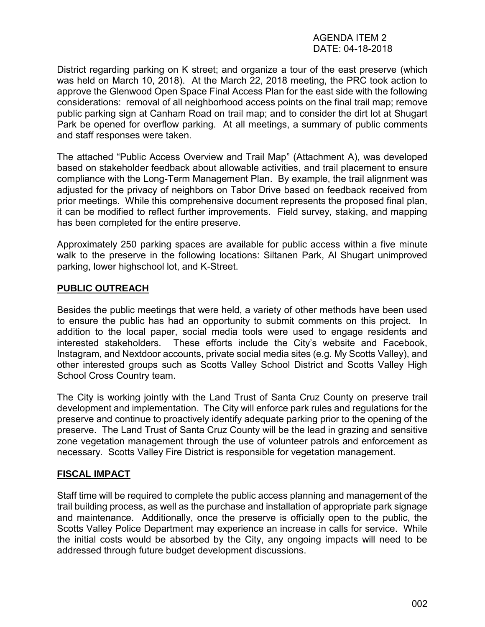#### AGENDA ITEM 2 DATE: 04-18-2018

District regarding parking on K street; and organize a tour of the east preserve (which was held on March 10, 2018). At the March 22, 2018 meeting, the PRC took action to approve the Glenwood Open Space Final Access Plan for the east side with the following considerations: removal of all neighborhood access points on the final trail map; remove public parking sign at Canham Road on trail map; and to consider the dirt lot at Shugart Park be opened for overflow parking. At all meetings, a summary of public comments and staff responses were taken.

The attached "Public Access Overview and Trail Map" (Attachment A), was developed based on stakeholder feedback about allowable activities, and trail placement to ensure compliance with the Long-Term Management Plan. By example, the trail alignment was adjusted for the privacy of neighbors on Tabor Drive based on feedback received from prior meetings. While this comprehensive document represents the proposed final plan, it can be modified to reflect further improvements. Field survey, staking, and mapping has been completed for the entire preserve.

Approximately 250 parking spaces are available for public access within a five minute walk to the preserve in the following locations: Siltanen Park, Al Shugart unimproved parking, lower highschool lot, and K-Street.

#### **PUBLIC OUTREACH**

Besides the public meetings that were held, a variety of other methods have been used to ensure the public has had an opportunity to submit comments on this project. In addition to the local paper, social media tools were used to engage residents and interested stakeholders. These efforts include the City's website and Facebook, Instagram, and Nextdoor accounts, private social media sites (e.g. My Scotts Valley), and other interested groups such as Scotts Valley School District and Scotts Valley High School Cross Country team.

The City is working jointly with the Land Trust of Santa Cruz County on preserve trail development and implementation. The City will enforce park rules and regulations for the preserve and continue to proactively identify adequate parking prior to the opening of the preserve. The Land Trust of Santa Cruz County will be the lead in grazing and sensitive zone vegetation management through the use of volunteer patrols and enforcement as necessary. Scotts Valley Fire District is responsible for vegetation management.

#### **FISCAL IMPACT**

Staff time will be required to complete the public access planning and management of the trail building process, as well as the purchase and installation of appropriate park signage and maintenance. Additionally, once the preserve is officially open to the public, the Scotts Valley Police Department may experience an increase in calls for service. While the initial costs would be absorbed by the City, any ongoing impacts will need to be addressed through future budget development discussions.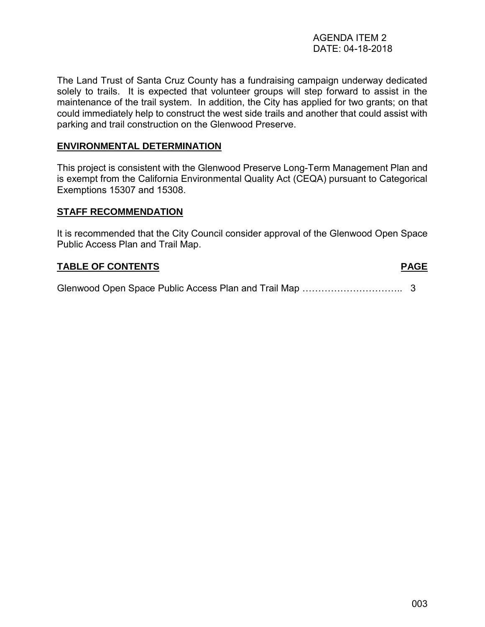#### AGENDA ITEM 2 DATE: 04-18-2018

The Land Trust of Santa Cruz County has a fundraising campaign underway dedicated solely to trails. It is expected that volunteer groups will step forward to assist in the maintenance of the trail system. In addition, the City has applied for two grants; on that could immediately help to construct the west side trails and another that could assist with parking and trail construction on the Glenwood Preserve.

#### **ENVIRONMENTAL DETERMINATION**

This project is consistent with the Glenwood Preserve Long-Term Management Plan and is exempt from the California Environmental Quality Act (CEQA) pursuant to Categorical Exemptions 15307 and 15308.

#### **STAFF RECOMMENDATION**

It is recommended that the City Council consider approval of the Glenwood Open Space Public Access Plan and Trail Map.

#### **TABLE OF CONTENTS PAGE**

Glenwood Open Space Public Access Plan and Trail Map ………………………….. 3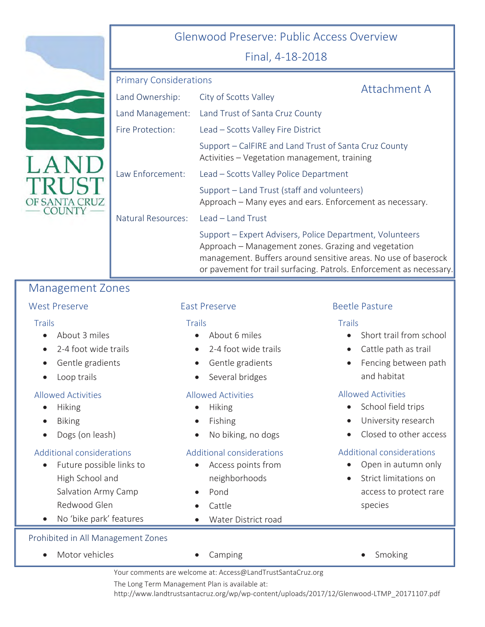## Glenwood Preserve: Public Access Overview

### Final, 4-18-2018

# Primary Considerations

|                    |                                                                                                                                                                                   | Attachment A |
|--------------------|-----------------------------------------------------------------------------------------------------------------------------------------------------------------------------------|--------------|
| Land Ownership:    | City of Scotts Valley                                                                                                                                                             |              |
|                    | Land Management: Land Trust of Santa Cruz County                                                                                                                                  |              |
| Fire Protection:   | Lead - Scotts Valley Fire District                                                                                                                                                |              |
|                    | Support - CalFIRE and Land Trust of Santa Cruz County<br>Activities - Vegetation management, training                                                                             |              |
| Law Enforcement:   | Lead - Scotts Valley Police Department                                                                                                                                            |              |
|                    | Support – Land Trust (staff and volunteers)<br>Approach – Many eyes and ears. Enforcement as necessary.                                                                           |              |
| Natural Resources: | Lead - Land Trust                                                                                                                                                                 |              |
|                    | Support – Expert Advisers, Police Department, Volunteers<br>Approach - Management zones. Grazing and vegetation<br>management. Buffers around sensitive areas. No use of baserock |              |

# Management Zones

#### West Preserve

COUNTY

#### **Trails**

- About 3 miles
- $\bullet$  2-4 foot wide trails
- Gentle gradients
- Loop trails

#### Allowed Activities

- $\bullet$  Hiking
- **Biking**
- Dogs (on leash)

#### Additional considerations

- Future possible links to High School and Salvation Army Camp Redwood Glen
- No 'bike park' features

#### East Preserve

#### **Trails**

- $\bullet$  About 6 miles
- $\bullet$  2-4 foot wide trails
- Gentle gradients
- Several bridges

#### Allowed Activities

- $\bullet$  Hiking
- **Fishing**
- No biking, no dogs

#### Additional considerations

- Access points from neighborhoods
- Pond
- Water District road

#### Beetle Pasture

#### **Trails**

or pavement for trail surfacing. Patrols. Enforcement as necessary.

- Short trail from school
- $\bullet$  Cattle path as trail
- Fencing between path and habitat

#### Allowed Activities

- School field trips
- University research
- Closed to other access

#### Additional considerations

- Open in autumn only
- Strict limitations on access to protect rare species

#### Prohibited in All Management Zones

- x Motor vehicles x Camping x Smoking
	-
- 
- Your comments are welcome at: Access@LandTrustSantaCruz.org

The Long Term Management Plan is available at:

http://www.landtrustsantacruz.org/wp/wp-content/uploads/2017/12/Glenwood-LTMP\_20171107.pdf

Cattle